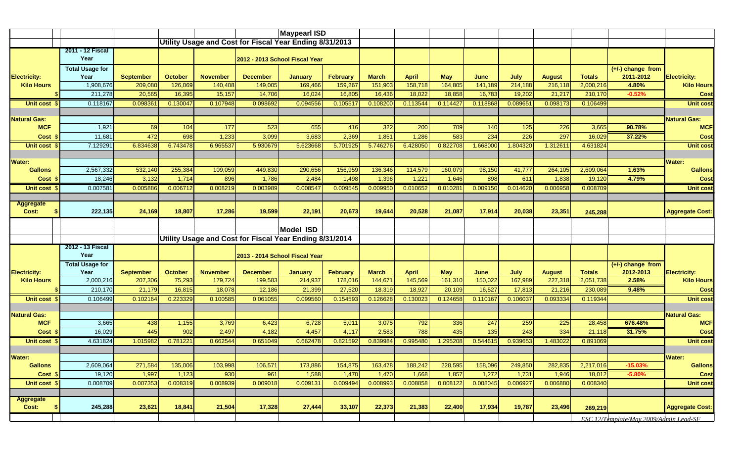|                                 |                                |                  | <b>Maypearl ISD</b> |                 |                                                         |                  |                 |              |              |            |          |          |               |               |                                  |                        |
|---------------------------------|--------------------------------|------------------|---------------------|-----------------|---------------------------------------------------------|------------------|-----------------|--------------|--------------|------------|----------|----------|---------------|---------------|----------------------------------|------------------------|
|                                 |                                |                  |                     |                 | Utility Usage and Cost for Fiscal Year Ending 8/31/2013 |                  |                 |              |              |            |          |          |               |               |                                  |                        |
|                                 | 2011 - 12 Fiscal<br>Year       |                  |                     |                 | 2012 - 2013 School Fiscal Year                          |                  |                 |              |              |            |          |          |               |               |                                  |                        |
| <b>Electricity:</b>             | <b>Total Usage for</b><br>Year | <b>September</b> | <b>October</b>      | <b>November</b> | <b>December</b>                                         | <b>January</b>   | <b>February</b> | <b>March</b> | <b>April</b> | <b>May</b> | June     | July     | <b>August</b> | <b>Totals</b> | $(+/-)$ change from<br>2011-2012 | <b>Electricity:</b>    |
| <b>Kilo Hours</b>               | 1,908,676                      | 209,080          | 126,069             | 140,408         | 149,005                                                 | 169,466          | 159,267         | 151,903      | 158,718      | 164,805    | 141,189  | 214,188  | 216,118       | 2,000,216     | 4.80%                            | <b>Kilo Hours</b>      |
|                                 | 211,278                        | 20,565           | 16,395              | 15,157          | 14,706                                                  | 16,024           | 16,805          | 16,436       | 18,022       | 18,858     | 16,783   | 19,202   | 21,217        | 210,170       | $-0.52%$                         | <b>Cost</b>            |
| Unit cost                       | 0.118167                       | 0.09836'         | 0.130047            | 0.107948        | 0.098692                                                | 0.094556         | 0.105517        | 0.108200     | 0.113544     | 0.114427   | 0.118868 | 0.089651 | 0.098173      | 0.106499      |                                  | <b>Unit cost</b>       |
|                                 |                                |                  |                     |                 |                                                         |                  |                 |              |              |            |          |          |               |               |                                  |                        |
| <b>Natural Gas:</b>             |                                |                  |                     |                 |                                                         |                  |                 |              |              |            |          |          |               |               |                                  | <b>Natural Gas:</b>    |
| <b>MCF</b>                      | 1,921                          | 69               | 104                 | 177             | 523                                                     | 655              | 416             | 322          | 200          | 709        | 140      | 125      | 226           | 3,665         | 90.78%                           | <b>MCF</b>             |
| Cost :                          | 11,681                         | 472              | 698                 | 1,233           | 3,099                                                   | 3,683            | 2,369           | 1,851        | 1,286        | 583        | 234      | 226      | 297           | 16,029        | 37.22%                           | Cost                   |
| Unit cost \$                    | 7.129291                       | 6.834638         | 6.743478            | 6.965537        | 5.930679                                                | 5.623668         | 5.701925        | 5.746276     | 6.428050     | 0.822708   | 1.668000 | 1.804320 | 1.31261       | 4.631824      |                                  | <b>Unit cost</b>       |
|                                 |                                |                  |                     |                 |                                                         |                  |                 |              |              |            |          |          |               |               |                                  | <b>Water:</b>          |
| <b>Water:</b><br><b>Gallons</b> | 2,567,332                      | 532,140          | 255,384             | 109,059         | 449,830                                                 | 290,656          | 156,959         | 136,346      | 114,579      | 160,079    | 98,150   | 41,777   | 264,105       | 2,609,064     | 1.63%                            | <b>Gallons</b>         |
| Cost :                          | 18,246                         | 3,132            | 1,714               | 896             | 1,786                                                   | 2,484            | 1,498           | 1,396        | 1,221        | 1,646      | 898      | 611      | 1,838         | 19,120        | 4.79%                            | Cost                   |
| Unit cost \$                    | 0.007581                       | 0.005886         | 0.006712            | 0.008219        | 0.003989                                                | 0.008547         | 0.009545        | 0.009950     | 0.01065      | 0.010281   | 0.009150 | 0.014620 | 0.006958      | 0.008709      |                                  | <b>Unit cost</b>       |
|                                 |                                |                  |                     |                 |                                                         |                  |                 |              |              |            |          |          |               |               |                                  |                        |
| <b>Aggregate</b>                |                                |                  |                     |                 |                                                         |                  |                 |              |              |            |          |          |               |               |                                  |                        |
| Cost:                           | 222,135                        | 24,169           | 18,807              | 17,286          | 19,599                                                  | 22,191           | 20,673          | 19,644       | 20,528       | 21,087     | 17,914   | 20,038   | 23,351        | 245,288       |                                  | <b>Aggregate Cost:</b> |
|                                 |                                |                  |                     |                 |                                                         |                  |                 |              |              |            |          |          |               |               |                                  |                        |
|                                 |                                |                  |                     |                 |                                                         | <b>Model ISD</b> |                 |              |              |            |          |          |               |               |                                  |                        |
|                                 | <b>2012 - 13 Fiscal</b>        |                  |                     |                 | Utility Usage and Cost for Fiscal Year Ending 8/31/2014 |                  |                 |              |              |            |          |          |               |               |                                  |                        |
|                                 | Year                           |                  |                     |                 | 2013 - 2014 School Fiscal Year                          |                  |                 |              |              |            |          |          |               |               |                                  |                        |
|                                 | <b>Total Usage for</b>         |                  |                     |                 |                                                         |                  |                 |              |              |            |          |          |               |               | $(+/-)$ change from              |                        |
| <b>Electricity:</b>             | Year                           | <b>September</b> | <b>October</b>      | <b>November</b> | <b>December</b>                                         | <b>January</b>   | February        | <b>March</b> | <b>April</b> | <b>May</b> | June     | July     | <b>August</b> | <b>Totals</b> | 2012-2013                        | <b>Electricity:</b>    |
| <b>Kilo Hours</b>               | 2,000,216                      | 207,306          | 75,293              | 179,724         | 199,583                                                 | 214,937          | 178,016         | 144,671      | 145,569      | 161,310    | 150,022  | 167,989  | 227,318       | 2,051,738     | 2.58%                            | <b>Kilo Hours</b>      |
|                                 | 210,170                        | 21,179           | 16,815              | 18,078          | 12,186                                                  | 21,399           | 27,520          | 18,319       | 18,927       | 20,109     | 16,527   | 17,813   | 21,216        | 230,089       | 9.48%                            | <b>Cost</b>            |
| Unit cost \$                    | 0.106499                       | 0.102164         | 0.223329            | 0.100585        | 0.061055                                                | 0.099560         | 0.154593        | 0.126628     | 0.13002      | 0.124658   | 0.110167 | 0.106037 | 0.093334      | 0.119344      |                                  | <b>Unit cost</b>       |
| <b>Natural Gas:</b>             |                                |                  |                     |                 |                                                         |                  |                 |              |              |            |          |          |               |               |                                  | <b>Natural Gas:</b>    |
| <b>MCF</b>                      | 3,665                          | 438              | 1,155               | 3,769           | 6,423                                                   | 6,728            | 5,011           | 3,075        | 792          | 336        | 247      | 259      | 225           | 28,458        | 676.48%                          | <b>MCF</b>             |
| Cost                            | 16,029                         | 445              | 902                 | 2,497           | 4,182                                                   | 4,457            | 4,117           | 2,583        | 788          | 435        | 135      | 243      | 334           | 21,118        | 31.75%                           | <b>Cost</b>            |
| Unit cost \$                    | 4.631824                       | 1.015982         | 0.781221            | 0.662544        | 0.651049                                                | 0.662478         | 0.821592        | 0.839984     | 0.995480     | 1.295208   | 0.544615 | 0.939653 | 1.483022      | 0.891069      |                                  | <b>Unit cost</b>       |
|                                 |                                |                  |                     |                 |                                                         |                  |                 |              |              |            |          |          |               |               |                                  |                        |
|                                 |                                |                  |                     |                 |                                                         |                  |                 |              |              |            |          |          |               |               |                                  |                        |
|                                 |                                |                  |                     |                 |                                                         |                  |                 |              |              |            |          |          |               |               |                                  | <b>Water:</b>          |
| <b>Gallons</b>                  | 2,609,064                      | 271,584          | 135,006             | 103,998         | 106,571                                                 | 173,886          | 154,875         | 163,478      | 188,242      | 228,595    | 158,096  | 249,850  | 282,835       | 2,217,016     | $-15.03%$                        | <b>Gallons</b>         |
| Cost \$                         | 19,120                         | 1,997            | 1,123               | 930             | 961                                                     | 1,588            | 1,470           | 1,470        | 1,668        | 1,857      | 1,272    | 1,731    | 1,946         | 18,012        | $-5.80%$                         | Cost                   |
| Unit cost \$                    | 0.008709                       | 0.007353         | 0.008319            | 0.008939        | 0.009018                                                | 0.009131         | 0.009494        | 0.008993     | 0.008858     | 0.008122   | 0.008045 | 0.006927 | 0.006880      | 0.008340      |                                  | <b>Unit cost</b>       |
| Water:                          |                                |                  |                     |                 |                                                         |                  |                 |              |              |            |          |          |               |               |                                  |                        |
| <b>Aggregate</b><br>Cost:       | 245,288                        | 23,621           | 18,841              | 21,504          | 17,328                                                  | 27,444           | 33,107          | 22,373       | 21,383       | 22,400     | 17,934   | 19,787   | 23,496        | 269,219       |                                  | <b>Aggregate Cost:</b> |